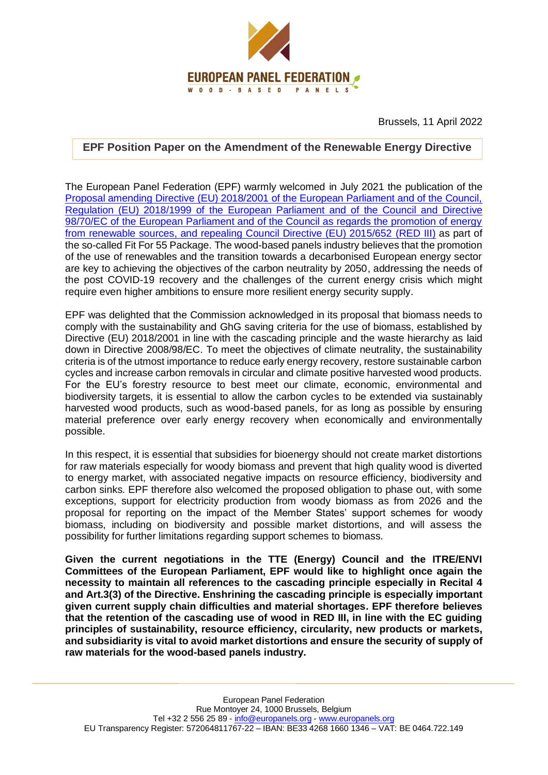

Brussels, 11 April 2022

## **EPF Position Paper on the Amendment of the Renewable Energy Directive**

The European Panel Federation (EPF) warmly welcomed in July 2021 the publication of the [Proposal amending Directive \(EU\) 2018/2001 of the European Parliament and of the Council,](https://eur-lex.europa.eu/legal-content/EN/TXT/?uri=CELEX:52021PC0557)  [Regulation \(EU\) 2018/1999 of the European Parliament and of the Council and Directive](https://eur-lex.europa.eu/legal-content/EN/TXT/?uri=CELEX:52021PC0557)  [98/70/EC of the European Parliament and of the Council as regards the promotion of energy](https://eur-lex.europa.eu/legal-content/EN/TXT/?uri=CELEX:52021PC0557)  [from renewable sources, and repealing Council Directive \(EU\) 2015/652](https://eur-lex.europa.eu/legal-content/EN/TXT/?uri=CELEX:52021PC0557) (RED III) as part of the so-called Fit For 55 Package. The wood-based panels industry believes that the promotion of the use of renewables and the transition towards a decarbonised European energy sector are key to achieving the objectives of the carbon neutrality by 2050, addressing the needs of the post COVID-19 recovery and the challenges of the current energy crisis which might require even higher ambitions to ensure more resilient energy security supply.

EPF was delighted that the Commission acknowledged in its proposal that biomass needs to comply with the sustainability and GhG saving criteria for the use of biomass, established by Directive (EU) 2018/2001 in line with the cascading principle and the waste hierarchy as laid down in Directive 2008/98/EC. To meet the objectives of climate neutrality, the sustainability criteria is of the utmost importance to reduce early energy recovery, restore sustainable carbon cycles and increase carbon removals in circular and climate positive harvested wood products. For the EU's forestry resource to best meet our climate, economic, environmental and biodiversity targets, it is essential to allow the carbon cycles to be extended via sustainably harvested wood products, such as wood-based panels, for as long as possible by ensuring material preference over early energy recovery when economically and environmentally possible.

In this respect, it is essential that subsidies for bioenergy should not create market distortions for raw materials especially for woody biomass and prevent that high quality wood is diverted to energy market, with associated negative impacts on resource efficiency, biodiversity and carbon sinks. EPF therefore also welcomed the proposed obligation to phase out, with some exceptions, support for electricity production from woody biomass as from 2026 and the proposal for reporting on the impact of the Member States' support schemes for woody biomass, including on biodiversity and possible market distortions, and will assess the possibility for further limitations regarding support schemes to biomass.

**Given the current negotiations in the TTE (Energy) Council and the ITRE/ENVI Committees of the European Parliament, EPF would like to highlight once again the necessity to maintain all references to the cascading principle especially in Recital 4 and Art.3(3) of the Directive. Enshrining the cascading principle is especially important given current supply chain difficulties and material shortages. EPF therefore believes that the retention of the cascading use of wood in RED III, in line with the EC guiding principles of sustainability, resource efficiency, circularity, new products or markets, and subsidiarity is vital to avoid market distortions and ensure the security of supply of raw materials for the wood-based panels industry.**